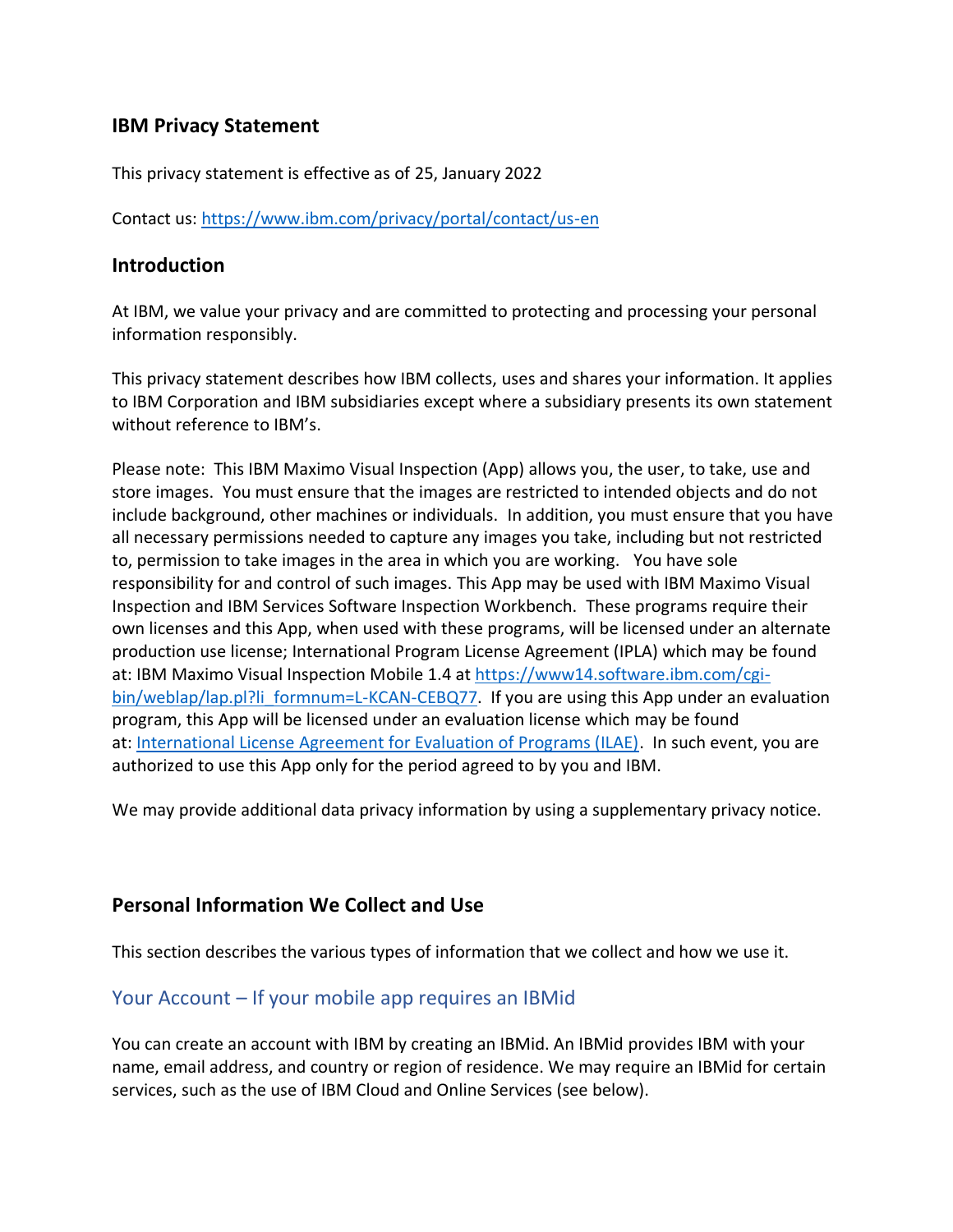### **IBM Privacy Statement**

This privacy statement is effective as of 25, January 2022

Contact us:<https://www.ibm.com/privacy/portal/contact/us-en>

#### **Introduction**

At IBM, we value your privacy and are committed to protecting and processing your personal information responsibly.

This privacy statement describes how IBM collects, uses and shares your information. It applies to IBM Corporation and IBM subsidiaries except where a subsidiary presents its own statement without reference to IBM's.

Please note: This IBM Maximo Visual Inspection (App) allows you, the user, to take, use and store images. You must ensure that the images are restricted to intended objects and do not include background, other machines or individuals. In addition, you must ensure that you have all necessary permissions needed to capture any images you take, including but not restricted to, permission to take images in the area in which you are working. You have sole responsibility for and control of such images. This App may be used with IBM Maximo Visual Inspection and IBM Services Software Inspection Workbench. These programs require their own licenses and this App, when used with these programs, will be licensed under an alternate production use license; International Program License Agreement (IPLA) which may be found at: IBM Maximo Visual Inspection Mobile 1.4 at [https://www14.software.ibm.com/cgi](https://www14.software.ibm.com/cgi-bin/weblap/lap.pl?li_formnum=L-KCAN-CEBQ77)[bin/weblap/lap.pl?li\\_formnum=L-KCAN-CEBQ77.](https://www14.software.ibm.com/cgi-bin/weblap/lap.pl?li_formnum=L-KCAN-CEBQ77) If you are using this App under an evaluation program, this App will be licensed under an evaluation license which may be found at: [International License Agreement for Evaluation of Programs \(ILAE\).](https://www-03.ibm.com/software/sla/sladb.nsf/pdf/ilae/$file/ilae.pdf) In such event, you are authorized to use this App only for the period agreed to by you and IBM.

We may provide additional data privacy information by using a supplementary privacy notice.

### **Personal Information We Collect and Use**

This section describes the various types of information that we collect and how we use it.

### Your Account – If your mobile app requires an IBMid

You can create an account with IBM by creating an IBMid. An IBMid provides IBM with your name, email address, and country or region of residence. We may require an IBMid for certain services, such as the use of IBM Cloud and Online Services (see below).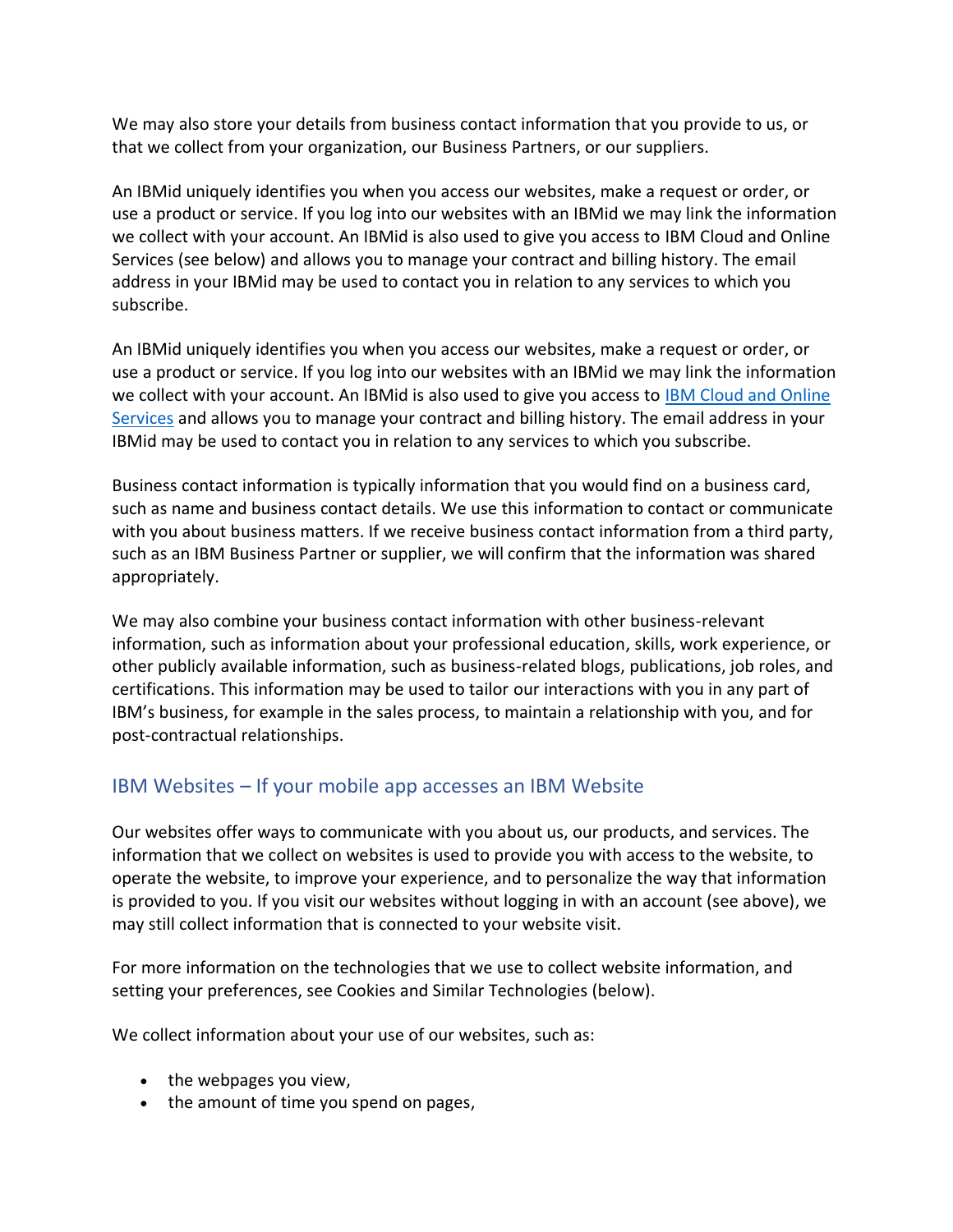We may also store your details from business contact information that you provide to us, or that we collect from your organization, our Business Partners, or our suppliers.

An IBMid uniquely identifies you when you access our websites, make a request or order, or use a product or service. If you log into our websites with an IBMid we may link the information we collect with your account. An IBMid is also used to give you access to IBM Cloud and Online Services (see below) and allows you to manage your contract and billing history. The email address in your IBMid may be used to contact you in relation to any services to which you subscribe.

An IBMid uniquely identifies you when you access our websites, make a request or order, or use a product or service. If you log into our websites with an IBMid we may link the information we collect with your account. An IBMid is also used to give you access to [IBM Cloud and Online](https://www.ibm.com/privacy#IBM_Cloud_and_Online_Services)  [Services](https://www.ibm.com/privacy#IBM_Cloud_and_Online_Services) and allows you to manage your contract and billing history. The email address in your IBMid may be used to contact you in relation to any services to which you subscribe.

Business contact information is typically information that you would find on a business card, such as name and business contact details. We use this information to contact or communicate with you about business matters. If we receive business contact information from a third party, such as an IBM Business Partner or supplier, we will confirm that the information was shared appropriately.

We may also combine your business contact information with other business-relevant information, such as information about your professional education, skills, work experience, or other publicly available information, such as business-related blogs, publications, job roles, and certifications. This information may be used to tailor our interactions with you in any part of IBM's business, for example in the sales process, to maintain a relationship with you, and for post-contractual relationships.

## IBM Websites – If your mobile app accesses an IBM Website

Our websites offer ways to communicate with you about us, our products, and services. The information that we collect on websites is used to provide you with access to the website, to operate the website, to improve your experience, and to personalize the way that information is provided to you. If you visit our websites without logging in with an account (see above), we may still collect information that is connected to your website visit.

For more information on the technologies that we use to collect website information, and setting your preferences, see Cookies and Similar Technologies (below).

We collect information about your use of our websites, such as:

- the webpages you view,
- the amount of time you spend on pages,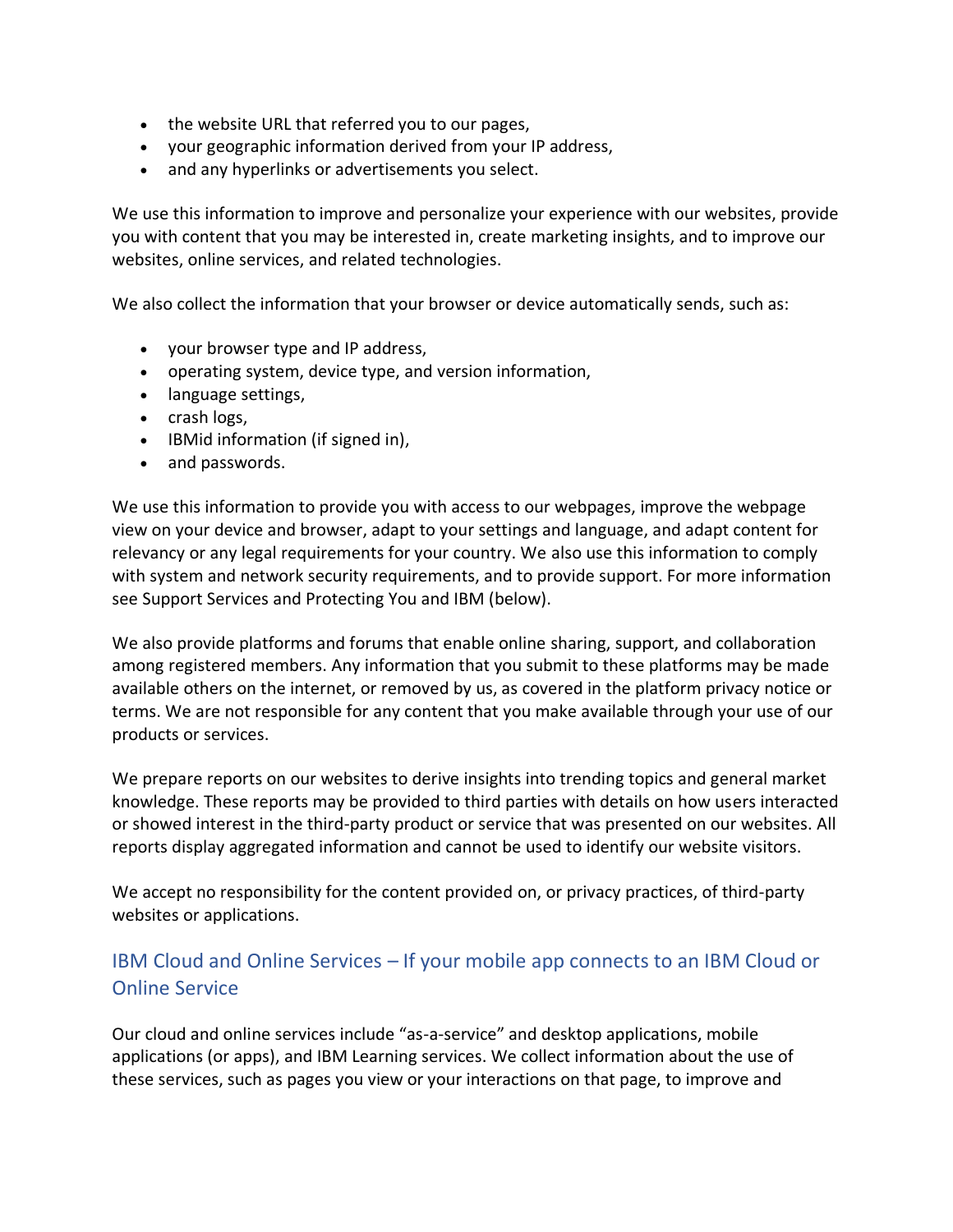- the website URL that referred you to our pages,
- your geographic information derived from your IP address,
- and any hyperlinks or advertisements you select.

We use this information to improve and personalize your experience with our websites, provide you with content that you may be interested in, create marketing insights, and to improve our websites, online services, and related technologies.

We also collect the information that your browser or device automatically sends, such as:

- your browser type and IP address,
- operating system, device type, and version information,
- language settings,
- crash logs,
- IBMid information (if signed in),
- and passwords.

We use this information to provide you with access to our webpages, improve the webpage view on your device and browser, adapt to your settings and language, and adapt content for relevancy or any legal requirements for your country. We also use this information to comply with system and network security requirements, and to provide support. For more information see Support Services and Protecting You and IBM (below).

We also provide platforms and forums that enable online sharing, support, and collaboration among registered members. Any information that you submit to these platforms may be made available others on the internet, or removed by us, as covered in the platform privacy notice or terms. We are not responsible for any content that you make available through your use of our products or services.

We prepare reports on our websites to derive insights into trending topics and general market knowledge. These reports may be provided to third parties with details on how users interacted or showed interest in the third-party product or service that was presented on our websites. All reports display aggregated information and cannot be used to identify our website visitors.

We accept no responsibility for the content provided on, or privacy practices, of third-party websites or applications.

## IBM Cloud and Online Services – If your mobile app connects to an IBM Cloud or Online Service

Our cloud and online services include "as-a-service" and desktop applications, mobile applications (or apps), and IBM Learning services. We collect information about the use of these services, such as pages you view or your interactions on that page, to improve and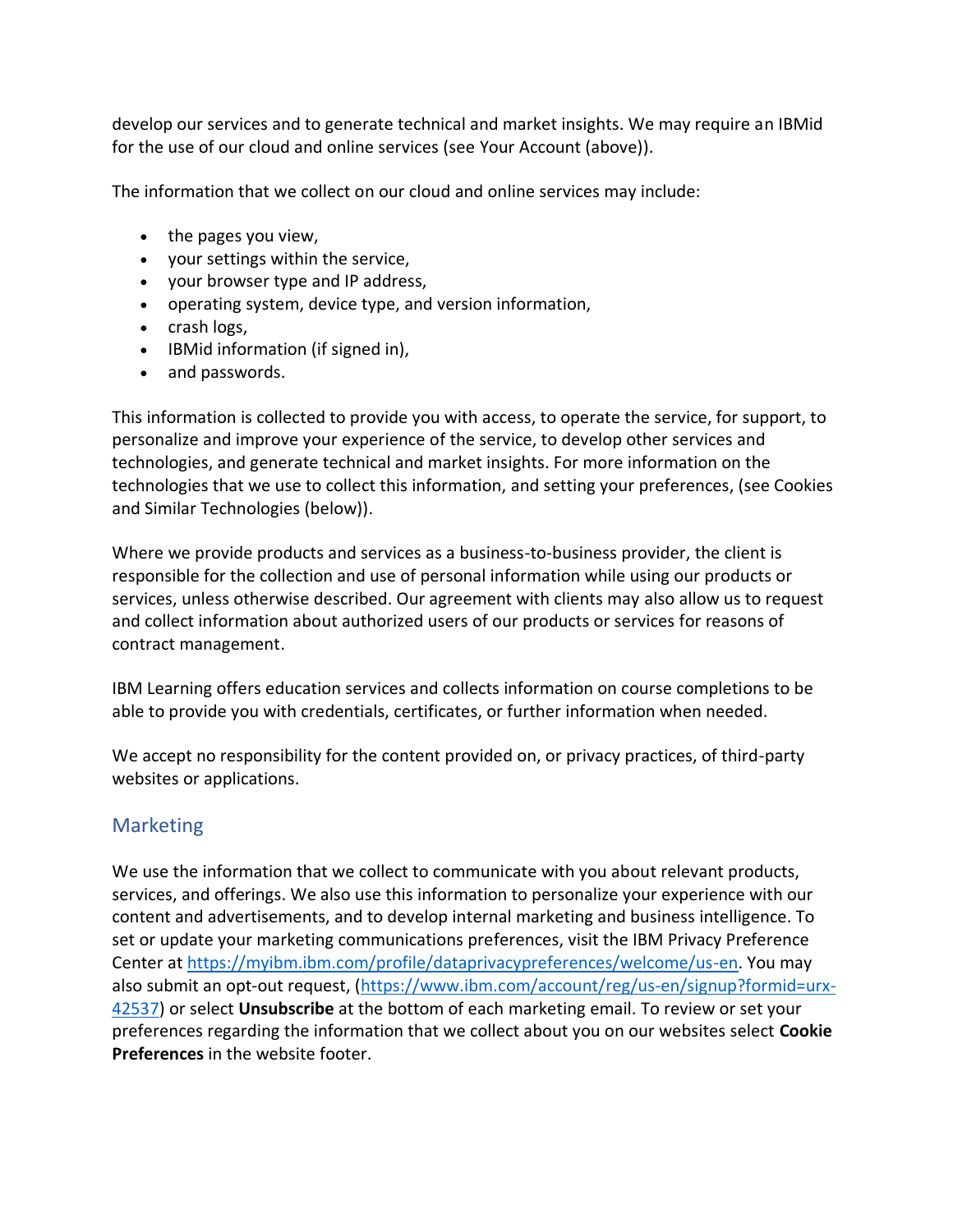develop our services and to generate technical and market insights. We may require an IBMid for the use of our cloud and online services (see Your Account (above)).

The information that we collect on our cloud and online services may include:

- the pages you view,
- your settings within the service,
- your browser type and IP address,
- operating system, device type, and version information,
- crash logs,
- IBMid information (if signed in),
- and passwords.

This information is collected to provide you with access, to operate the service, for support, to personalize and improve your experience of the service, to develop other services and technologies, and generate technical and market insights. For more information on the technologies that we use to collect this information, and setting your preferences, (see Cookies and Similar Technologies (below)).

Where we provide products and services as a business-to-business provider, the client is responsible for the collection and use of personal information while using our products or services, unless otherwise described. Our agreement with clients may also allow us to request and collect information about authorized users of our products or services for reasons of contract management.

IBM Learning offers education services and collects information on course completions to be able to provide you with credentials, certificates, or further information when needed.

We accept no responsibility for the content provided on, or privacy practices, of third-party websites or applications.

## **Marketing**

We use the information that we collect to communicate with you about relevant products, services, and offerings. We also use this information to personalize your experience with our content and advertisements, and to develop internal marketing and business intelligence. To set or update your marketing communications preferences, visit the IBM Privacy Preference Center at [https://myibm.ibm.com/profile/dataprivacypreferences/welcome/us-en.](https://myibm.ibm.com/profile/dataprivacypreferences/welcome/us-en) You may also submit an opt-out request, [\(https://www.ibm.com/account/reg/us-en/signup?formid=urx-](https://www.ibm.com/account/reg/us-en/signup?formid=urx-42537)[42537\)](https://www.ibm.com/account/reg/us-en/signup?formid=urx-42537) or select **Unsubscribe** at the bottom of each marketing email. To review or set your preferences regarding the information that we collect about you on our websites select **Cookie Preferences** in the website footer.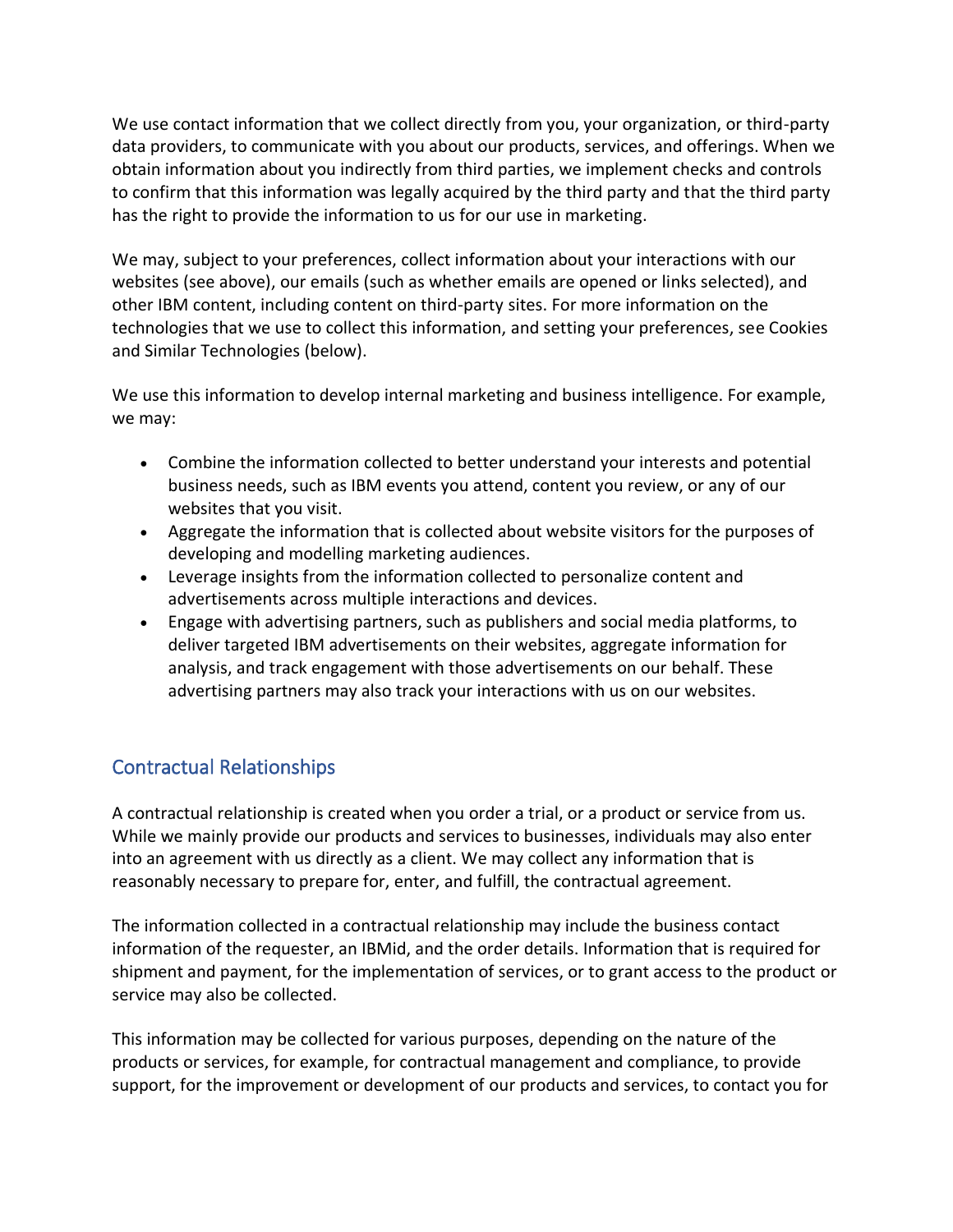We use contact information that we collect directly from you, your organization, or third-party data providers, to communicate with you about our products, services, and offerings. When we obtain information about you indirectly from third parties, we implement checks and controls to confirm that this information was legally acquired by the third party and that the third party has the right to provide the information to us for our use in marketing.

We may, subject to your preferences, collect information about your interactions with our websites (see above), our emails (such as whether emails are opened or links selected), and other IBM content, including content on third-party sites. For more information on the technologies that we use to collect this information, and setting your preferences, see Cookies and Similar Technologies (below).

We use this information to develop internal marketing and business intelligence. For example, we may:

- Combine the information collected to better understand your interests and potential business needs, such as IBM events you attend, content you review, or any of our websites that you visit.
- Aggregate the information that is collected about website visitors for the purposes of developing and modelling marketing audiences.
- Leverage insights from the information collected to personalize content and advertisements across multiple interactions and devices.
- Engage with advertising partners, such as publishers and social media platforms, to deliver targeted IBM advertisements on their websites, aggregate information for analysis, and track engagement with those advertisements on our behalf. These advertising partners may also track your interactions with us on our websites.

# Contractual Relationships

A contractual relationship is created when you order a trial, or a product or service from us. While we mainly provide our products and services to businesses, individuals may also enter into an agreement with us directly as a client. We may collect any information that is reasonably necessary to prepare for, enter, and fulfill, the contractual agreement.

The information collected in a contractual relationship may include the business contact information of the requester, an IBMid, and the order details. Information that is required for shipment and payment, for the implementation of services, or to grant access to the product or service may also be collected.

This information may be collected for various purposes, depending on the nature of the products or services, for example, for contractual management and compliance, to provide support, for the improvement or development of our products and services, to contact you for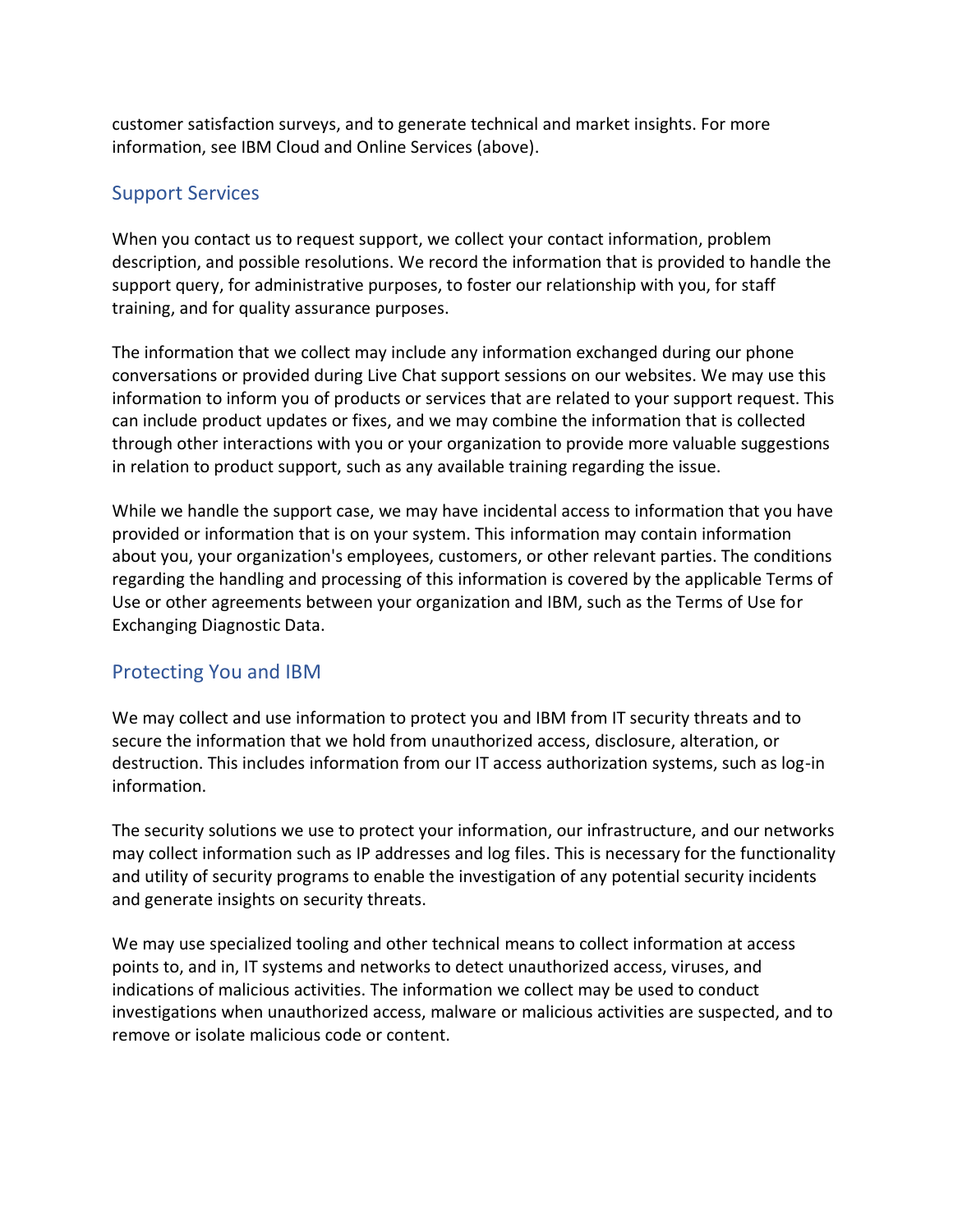customer satisfaction surveys, and to generate technical and market insights. For more information, see IBM Cloud and Online Services (above).

## Support Services

When you contact us to request support, we collect your contact information, problem description, and possible resolutions. We record the information that is provided to handle the support query, for administrative purposes, to foster our relationship with you, for staff training, and for quality assurance purposes.

The information that we collect may include any information exchanged during our phone conversations or provided during Live Chat support sessions on our websites. We may use this information to inform you of products or services that are related to your support request. This can include product updates or fixes, and we may combine the information that is collected through other interactions with you or your organization to provide more valuable suggestions in relation to product support, such as any available training regarding the issue.

While we handle the support case, we may have incidental access to information that you have provided or information that is on your system. This information may contain information about you, your organization's employees, customers, or other relevant parties. The conditions regarding the handling and processing of this information is covered by the applicable Terms of Use or other agreements between your organization and IBM, such as the Terms of Use for Exchanging Diagnostic Data.

## Protecting You and IBM

We may collect and use information to protect you and IBM from IT security threats and to secure the information that we hold from unauthorized access, disclosure, alteration, or destruction. This includes information from our IT access authorization systems, such as log-in information.

The security solutions we use to protect your information, our infrastructure, and our networks may collect information such as IP addresses and log files. This is necessary for the functionality and utility of security programs to enable the investigation of any potential security incidents and generate insights on security threats.

We may use specialized tooling and other technical means to collect information at access points to, and in, IT systems and networks to detect unauthorized access, viruses, and indications of malicious activities. The information we collect may be used to conduct investigations when unauthorized access, malware or malicious activities are suspected, and to remove or isolate malicious code or content.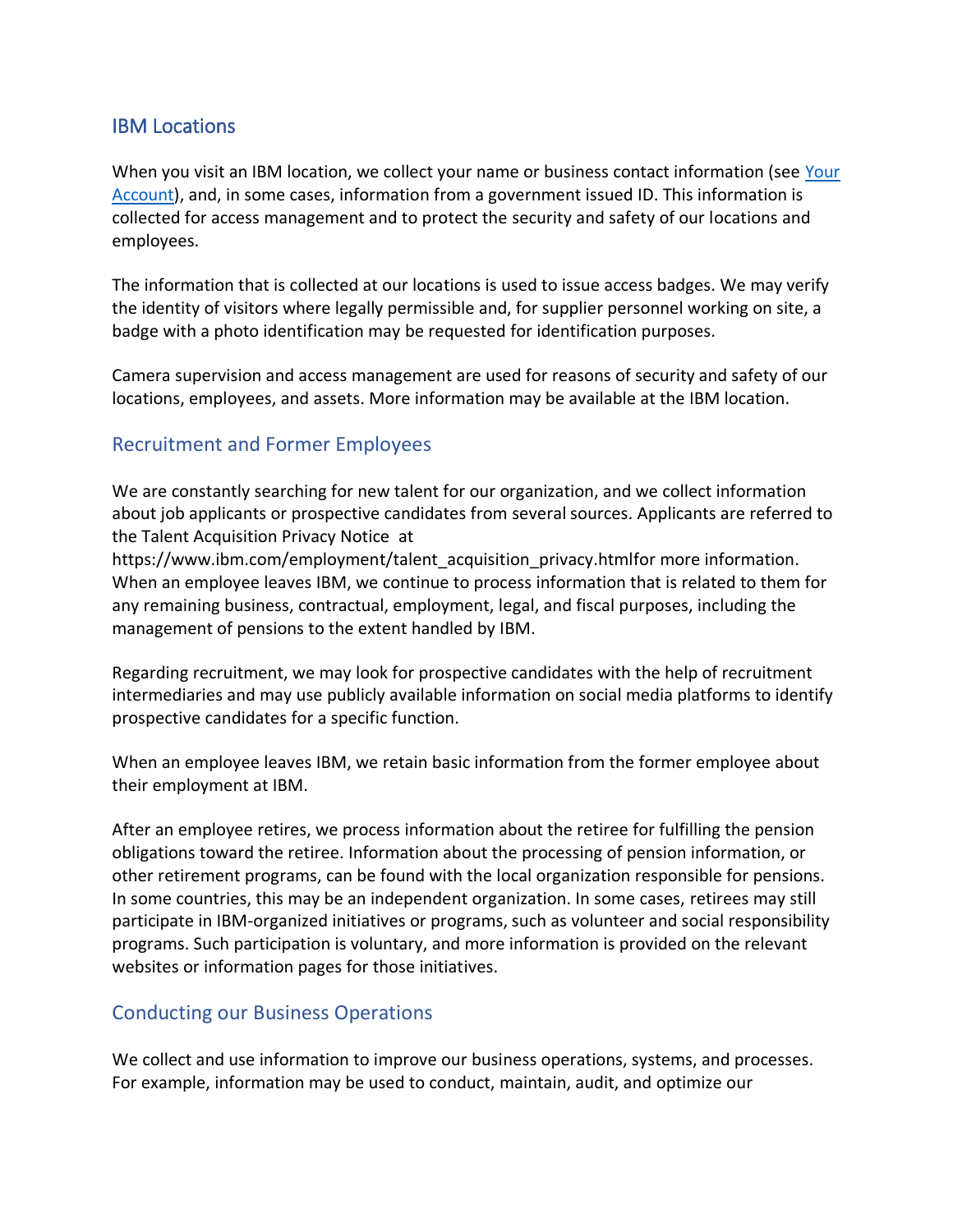#### IBM Locations

When you visit an IBM location, we collect your name or business contact information (see Your [Account\)](https://www.ibm.com/privacy#Your_Account), and, in some cases, information from a government issued ID. This information is collected for access management and to protect the security and safety of our locations and employees.

The information that is collected at our locations is used to issue access badges. We may verify the identity of visitors where legally permissible and, for supplier personnel working on site, a badge with a photo identification may be requested for identification purposes.

Camera supervision and access management are used for reasons of security and safety of our locations, employees, and assets. More information may be available at the IBM location.

### Recruitment and Former Employees

We are constantly searching for new talent for our organization, and we collect information about job applicants or prospective candidates from several sources. Applicants are referred to the Talent Acquisition Privacy Notice at

https://www.ibm.com/employment/talent\_acquisition\_privacy.htmlfor more information. When an employee leaves IBM, we continue to process information that is related to them for any remaining business, contractual, employment, legal, and fiscal purposes, including the management of pensions to the extent handled by IBM.

Regarding recruitment, we may look for prospective candidates with the help of recruitment intermediaries and may use publicly available information on social media platforms to identify prospective candidates for a specific function.

When an employee leaves IBM, we retain basic information from the former employee about their employment at IBM.

After an employee retires, we process information about the retiree for fulfilling the pension obligations toward the retiree. Information about the processing of pension information, or other retirement programs, can be found with the local organization responsible for pensions. In some countries, this may be an independent organization. In some cases, retirees may still participate in IBM-organized initiatives or programs, such as volunteer and social responsibility programs. Such participation is voluntary, and more information is provided on the relevant websites or information pages for those initiatives.

### Conducting our Business Operations

We collect and use information to improve our business operations, systems, and processes. For example, information may be used to conduct, maintain, audit, and optimize our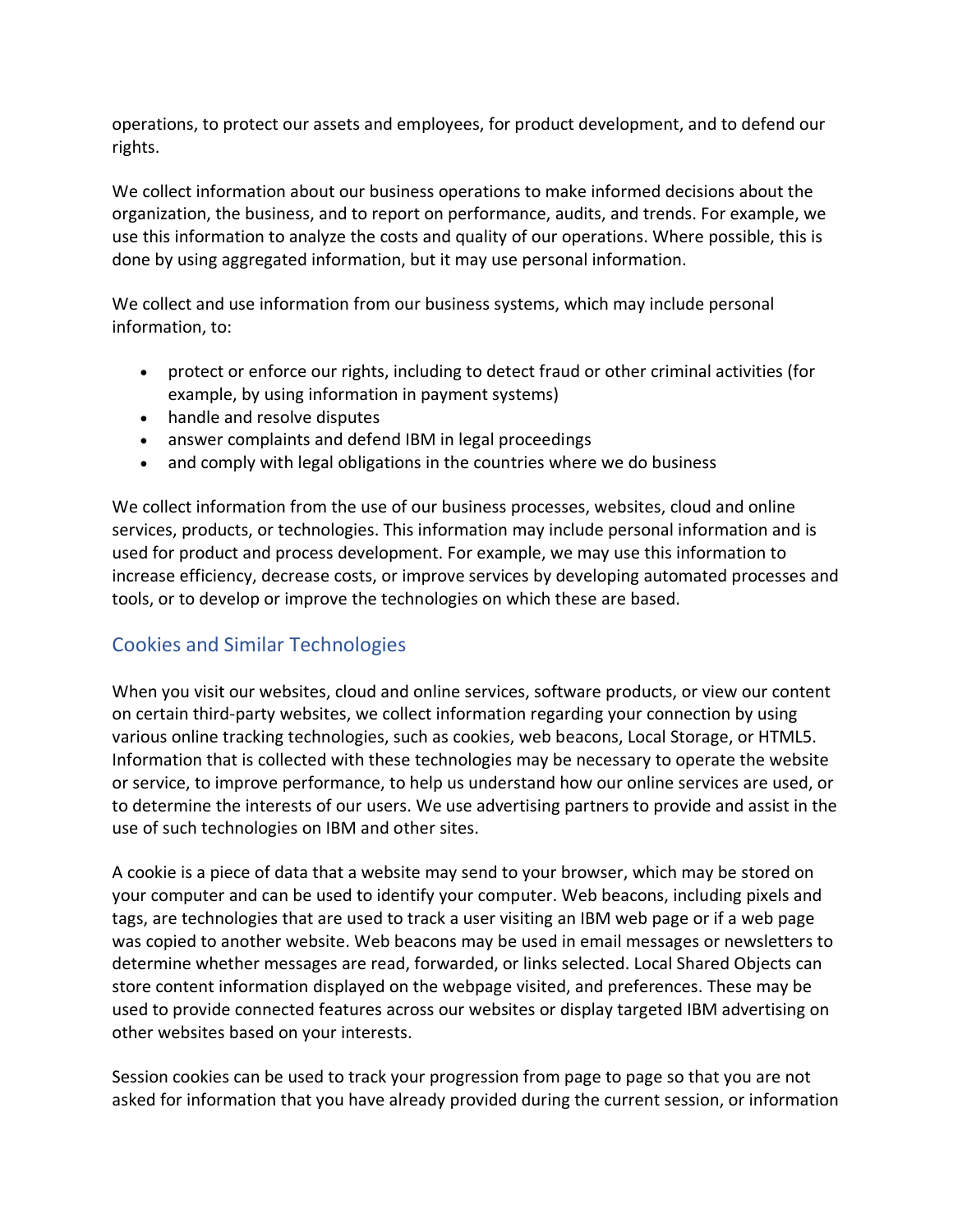operations, to protect our assets and employees, for product development, and to defend our rights.

We collect information about our business operations to make informed decisions about the organization, the business, and to report on performance, audits, and trends. For example, we use this information to analyze the costs and quality of our operations. Where possible, this is done by using aggregated information, but it may use personal information.

We collect and use information from our business systems, which may include personal information, to:

- protect or enforce our rights, including to detect fraud or other criminal activities (for example, by using information in payment systems)
- handle and resolve disputes
- answer complaints and defend IBM in legal proceedings
- and comply with legal obligations in the countries where we do business

We collect information from the use of our business processes, websites, cloud and online services, products, or technologies. This information may include personal information and is used for product and process development. For example, we may use this information to increase efficiency, decrease costs, or improve services by developing automated processes and tools, or to develop or improve the technologies on which these are based.

## Cookies and Similar Technologies

When you visit our websites, cloud and online services, software products, or view our content on certain third-party websites, we collect information regarding your connection by using various online tracking technologies, such as cookies, web beacons, Local Storage, or HTML5. Information that is collected with these technologies may be necessary to operate the website or service, to improve performance, to help us understand how our online services are used, or to determine the interests of our users. We use advertising partners to provide and assist in the use of such technologies on IBM and other sites.

A cookie is a piece of data that a website may send to your browser, which may be stored on your computer and can be used to identify your computer. Web beacons, including pixels and tags, are technologies that are used to track a user visiting an IBM web page or if a web page was copied to another website. Web beacons may be used in email messages or newsletters to determine whether messages are read, forwarded, or links selected. Local Shared Objects can store content information displayed on the webpage visited, and preferences. These may be used to provide connected features across our websites or display targeted IBM advertising on other websites based on your interests.

Session cookies can be used to track your progression from page to page so that you are not asked for information that you have already provided during the current session, or information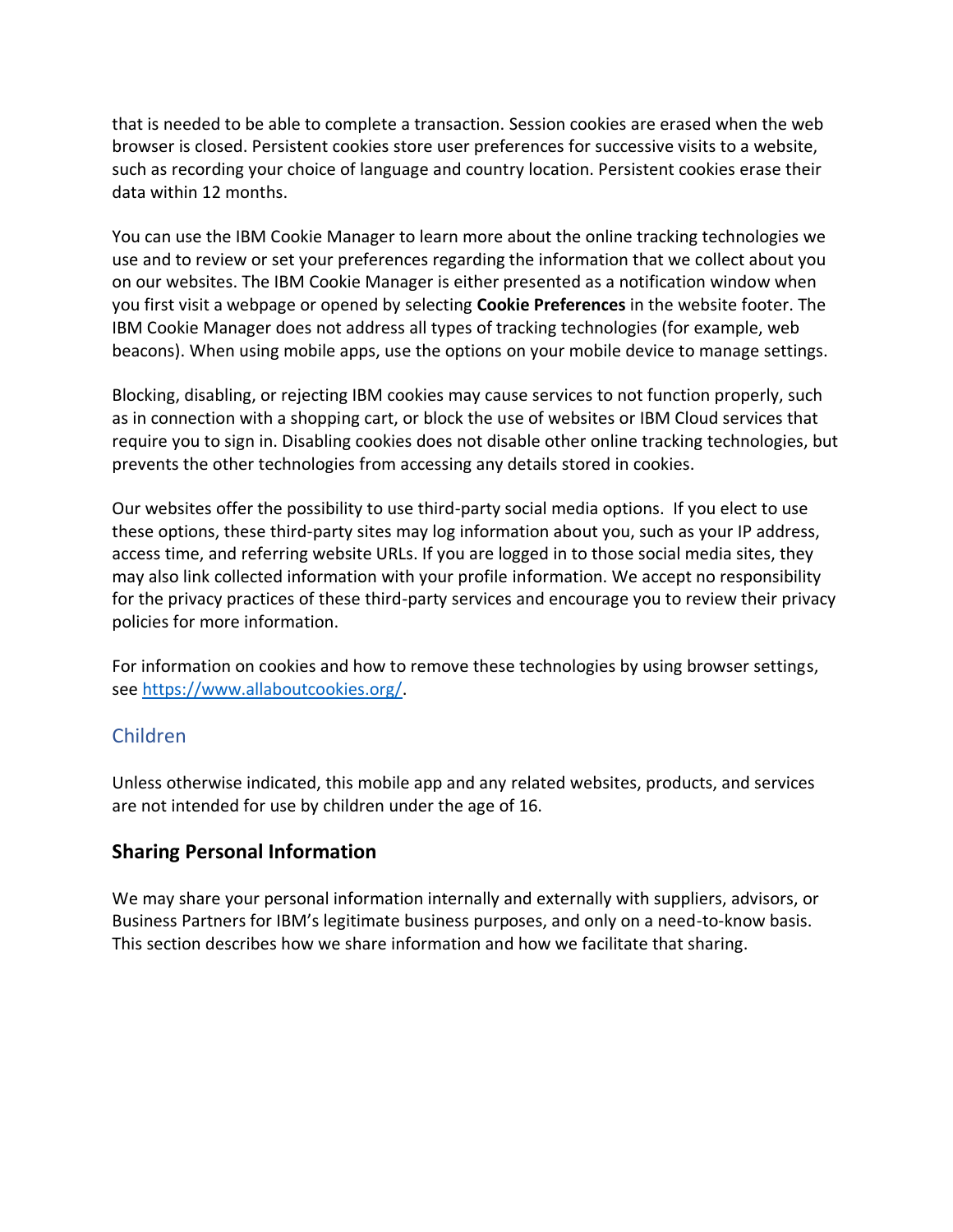that is needed to be able to complete a transaction. Session cookies are erased when the web browser is closed. Persistent cookies store user preferences for successive visits to a website, such as recording your choice of language and country location. Persistent cookies erase their data within 12 months.

You can use the IBM Cookie Manager to learn more about the online tracking technologies we use and to review or set your preferences regarding the information that we collect about you on our websites. The IBM Cookie Manager is either presented as a notification window when you first visit a webpage or opened by selecting **Cookie Preferences** in the website footer. The IBM Cookie Manager does not address all types of tracking technologies (for example, web beacons). When using mobile apps, use the options on your mobile device to manage settings.

Blocking, disabling, or rejecting IBM cookies may cause services to not function properly, such as in connection with a shopping cart, or block the use of websites or IBM Cloud services that require you to sign in. Disabling cookies does not disable other online tracking technologies, but prevents the other technologies from accessing any details stored in cookies.

Our websites offer the possibility to use third-party social media options. If you elect to use these options, these third-party sites may log information about you, such as your IP address, access time, and referring website URLs. If you are logged in to those social media sites, they may also link collected information with your profile information. We accept no responsibility for the privacy practices of these third-party services and encourage you to review their privacy policies for more information.

For information on cookies and how to remove these technologies by using browser settings, see [https://www.allaboutcookies.org/.](https://www.allaboutcookies.org/)

#### Children

Unless otherwise indicated, this mobile app and any related websites, products, and services are not intended for use by children under the age of 16.

#### **Sharing Personal Information**

We may share your personal information internally and externally with suppliers, advisors, or Business Partners for IBM's legitimate business purposes, and only on a need-to-know basis. This section describes how we share information and how we facilitate that sharing.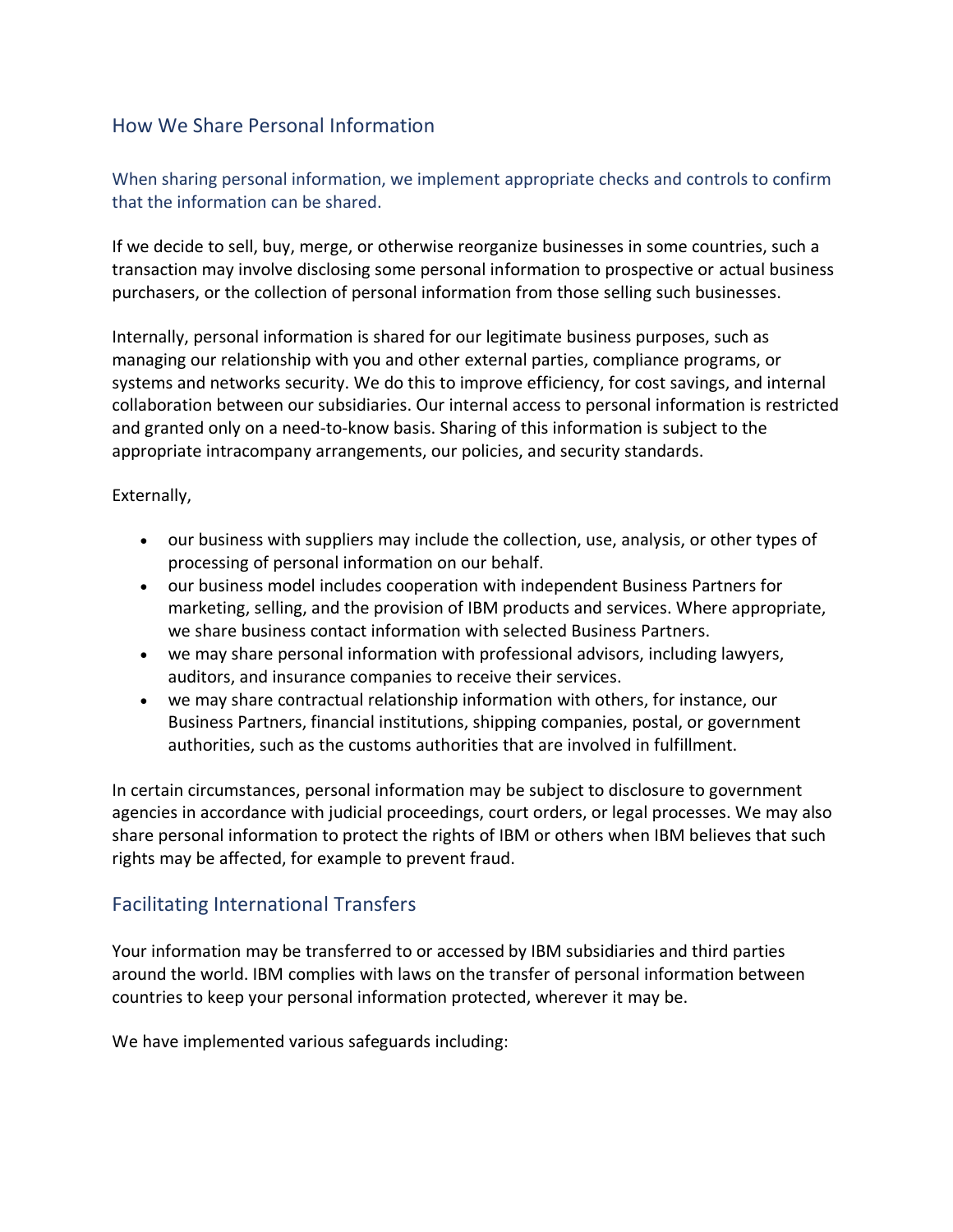## How We Share Personal Information

### When sharing personal information, we implement appropriate checks and controls to confirm that the information can be shared.

If we decide to sell, buy, merge, or otherwise reorganize businesses in some countries, such a transaction may involve disclosing some personal information to prospective or actual business purchasers, or the collection of personal information from those selling such businesses.

Internally, personal information is shared for our legitimate business purposes, such as managing our relationship with you and other external parties, compliance programs, or systems and networks security. We do this to improve efficiency, for cost savings, and internal collaboration between our subsidiaries. Our internal access to personal information is restricted and granted only on a need-to-know basis. Sharing of this information is subject to the appropriate intracompany arrangements, our policies, and security standards.

#### Externally,

- our business with suppliers may include the collection, use, analysis, or other types of processing of personal information on our behalf.
- our business model includes cooperation with independent Business Partners for marketing, selling, and the provision of IBM products and services. Where appropriate, we share business contact information with selected Business Partners.
- we may share personal information with professional advisors, including lawyers, auditors, and insurance companies to receive their services.
- we may share contractual relationship information with others, for instance, our Business Partners, financial institutions, shipping companies, postal, or government authorities, such as the customs authorities that are involved in fulfillment.

In certain circumstances, personal information may be subject to disclosure to government agencies in accordance with judicial proceedings, court orders, or legal processes. We may also share personal information to protect the rights of IBM or others when IBM believes that such rights may be affected, for example to prevent fraud.

### Facilitating International Transfers

Your information may be transferred to or accessed by IBM subsidiaries and third parties around the world. IBM complies with laws on the transfer of personal information between countries to keep your personal information protected, wherever it may be.

We have implemented various safeguards including: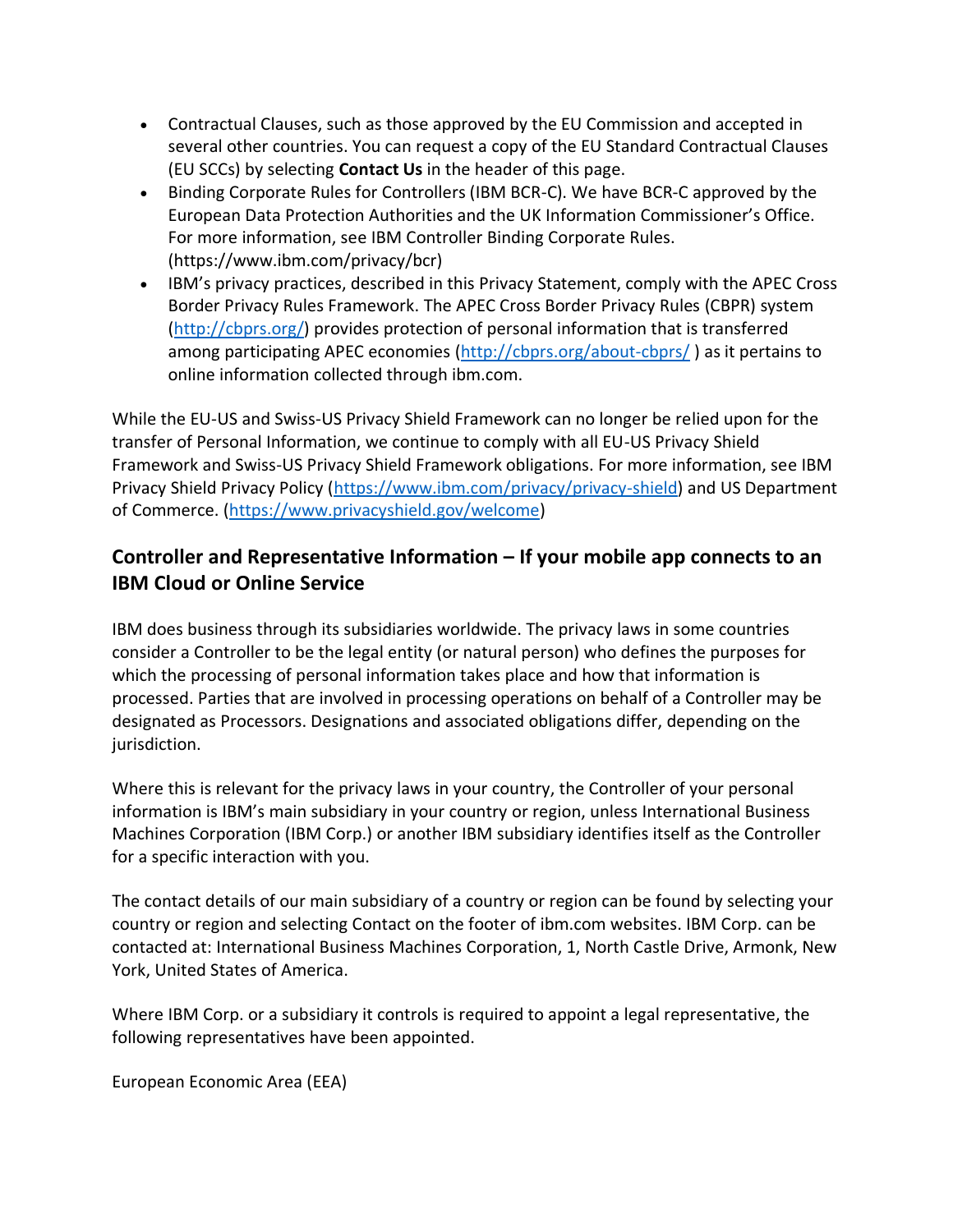- Contractual Clauses, such as those approved by the EU Commission and accepted in several other countries. You can request a copy of the EU Standard Contractual Clauses (EU SCCs) by selecting **Contact Us** in the header of this page.
- Binding Corporate Rules for Controllers (IBM BCR-C). We have BCR-C approved by the European Data Protection Authorities and the UK Information Commissioner's Office. For more information, see IBM Controller Binding Corporate Rules. (https://www.ibm.com/privacy/bcr)
- IBM's privacy practices, described in this Privacy Statement, comply with the APEC Cross Border Privacy Rules Framework. The APEC Cross Border Privacy Rules (CBPR) system [\(http://cbprs.org/\)](http://cbprs.org/) provides protection of personal information that is transferred among participating APEC economies [\(http://cbprs.org/about-cbprs/](http://cbprs.org/about-cbprs/) ) as it pertains to online information collected through ibm.com.

While the EU-US and Swiss-US Privacy Shield Framework can no longer be relied upon for the transfer of Personal Information, we continue to comply with all EU-US Privacy Shield Framework and Swiss-US Privacy Shield Framework obligations. For more information, see IBM Privacy Shield Privacy Policy [\(https://www.ibm.com/privacy/privacy-shield\)](https://www.ibm.com/privacy/privacy-shield) and US Department of Commerce. [\(https://www.privacyshield.gov/welcome\)](https://www.privacyshield.gov/welcome)

## **Controller and Representative Information – If your mobile app connects to an IBM Cloud or Online Service**

IBM does business through its subsidiaries worldwide. The privacy laws in some countries consider a Controller to be the legal entity (or natural person) who defines the purposes for which the processing of personal information takes place and how that information is processed. Parties that are involved in processing operations on behalf of a Controller may be designated as Processors. Designations and associated obligations differ, depending on the jurisdiction.

Where this is relevant for the privacy laws in your country, the Controller of your personal information is IBM's main subsidiary in your country or region, unless International Business Machines Corporation (IBM Corp.) or another IBM subsidiary identifies itself as the Controller for a specific interaction with you.

The contact details of our main subsidiary of a country or region can be found by selecting your country or region and selecting Contact on the footer of ibm.com websites. IBM Corp. can be contacted at: International Business Machines Corporation, 1, North Castle Drive, Armonk, New York, United States of America.

Where IBM Corp. or a subsidiary it controls is required to appoint a legal representative, the following representatives have been appointed.

European Economic Area (EEA)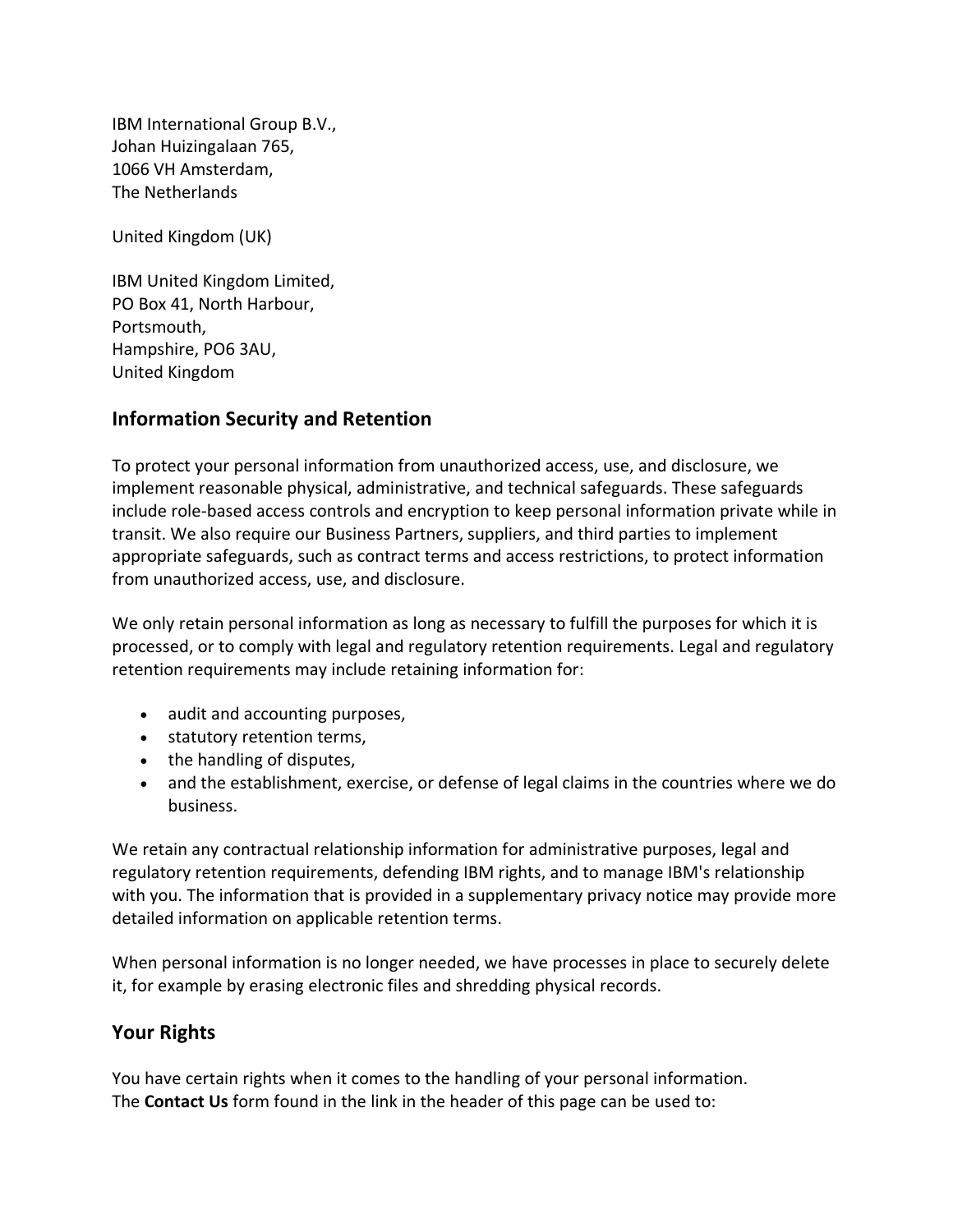IBM International Group B.V., Johan Huizingalaan 765, 1066 VH Amsterdam, The Netherlands

United Kingdom (UK)

IBM United Kingdom Limited, PO Box 41, North Harbour, Portsmouth, Hampshire, PO6 3AU, United Kingdom

### **Information Security and Retention**

To protect your personal information from unauthorized access, use, and disclosure, we implement reasonable physical, administrative, and technical safeguards. These safeguards include role-based access controls and encryption to keep personal information private while in transit. We also require our Business Partners, suppliers, and third parties to implement appropriate safeguards, such as contract terms and access restrictions, to protect information from unauthorized access, use, and disclosure.

We only retain personal information as long as necessary to fulfill the purposes for which it is processed, or to comply with legal and regulatory retention requirements. Legal and regulatory retention requirements may include retaining information for:

- audit and accounting purposes,
- statutory retention terms,
- the handling of disputes,
- and the establishment, exercise, or defense of legal claims in the countries where we do business.

We retain any contractual relationship information for administrative purposes, legal and regulatory retention requirements, defending IBM rights, and to manage IBM's relationship with you. The information that is provided in a supplementary privacy notice may provide more detailed information on applicable retention terms.

When personal information is no longer needed, we have processes in place to securely delete it, for example by erasing electronic files and shredding physical records.

## **Your Rights**

You have certain rights when it comes to the handling of your personal information. The **Contact Us** form found in the link in the header of this page can be used to: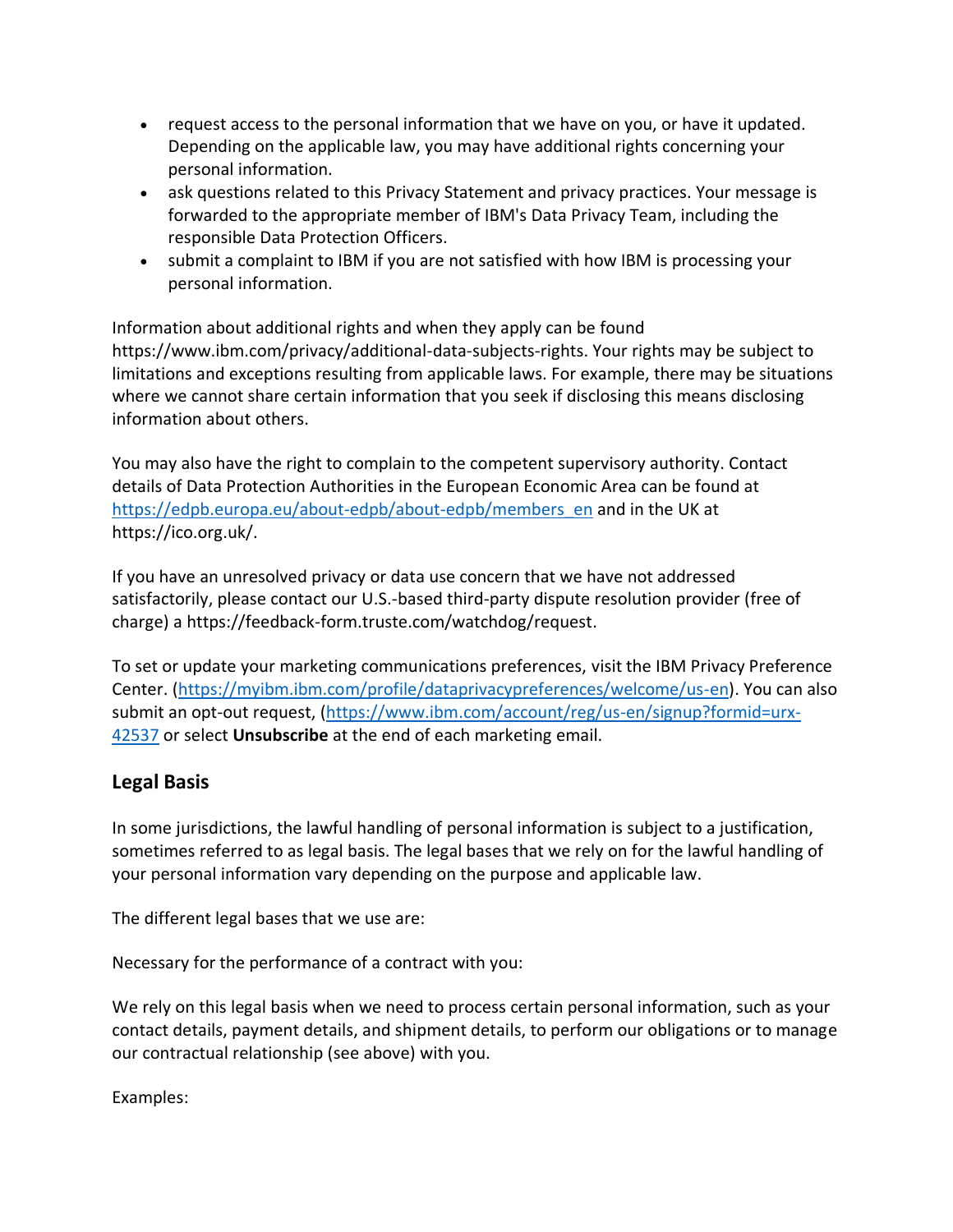- request access to the personal information that we have on you, or have it updated. Depending on the applicable law, you may have additional rights concerning your personal information.
- ask questions related to this Privacy Statement and privacy practices. Your message is forwarded to the appropriate member of IBM's Data Privacy Team, including the responsible Data Protection Officers.
- submit a complaint to IBM if you are not satisfied with how IBM is processing your personal information.

Information about additional rights and when they apply can be found https://www.ibm.com/privacy/additional-data-subjects-rights. Your rights may be subject to limitations and exceptions resulting from applicable laws. For example, there may be situations where we cannot share certain information that you seek if disclosing this means disclosing information about others.

You may also have the right to complain to the competent supervisory authority. Contact details of Data Protection Authorities in the European Economic Area can be found at [https://edpb.europa.eu/about-edpb/about-edpb/members\\_en](https://edpb.europa.eu/about-edpb/about-edpb/members_en) and in the UK at https://ico.org.uk/.

If you have an unresolved privacy or data use concern that we have not addressed satisfactorily, please contact our U.S.-based third-party dispute resolution provider (free of charge) a https://feedback-form.truste.com/watchdog/request.

To set or update your marketing communications preferences, visit the IBM Privacy Preference Center. [\(https://myibm.ibm.com/profile/dataprivacypreferences/welcome/us-en\)](https://myibm.ibm.com/profile/dataprivacypreferences/welcome/us-en). You can also submit an opt-out request, [\(https://www.ibm.com/account/reg/us-en/signup?formid=urx-](https://www.ibm.com/account/reg/us-en/signup?formid=urx-42537)[42537](https://www.ibm.com/account/reg/us-en/signup?formid=urx-42537) or select **Unsubscribe** at the end of each marketing email.

## **Legal Basis**

In some jurisdictions, the lawful handling of personal information is subject to a justification, sometimes referred to as legal basis. The legal bases that we rely on for the lawful handling of your personal information vary depending on the purpose and applicable law.

The different legal bases that we use are:

Necessary for the performance of a contract with you:

We rely on this legal basis when we need to process certain personal information, such as your contact details, payment details, and shipment details, to perform our obligations or to manage our contractual relationship (see above) with you.

Examples: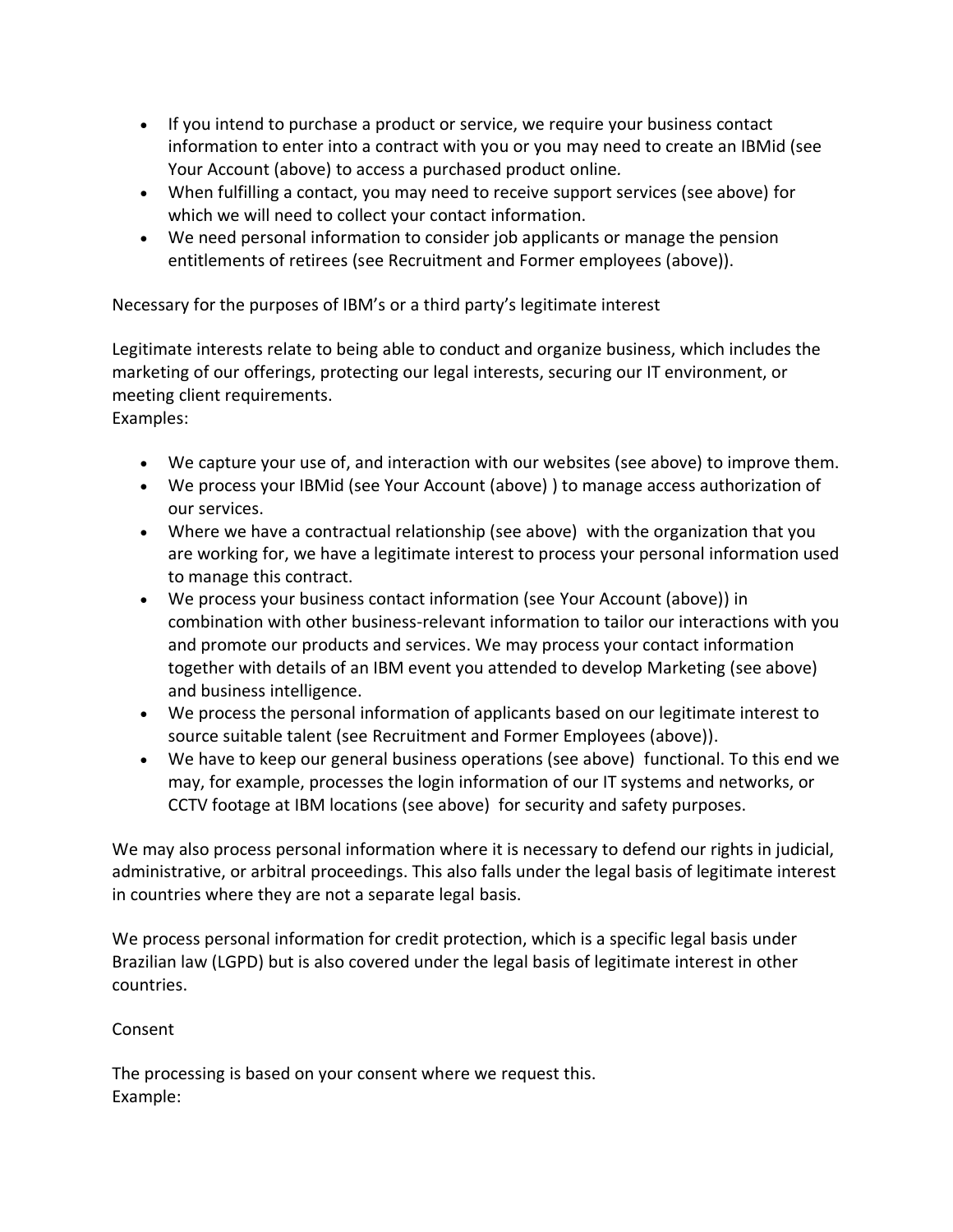- If you intend to purchase a product or service, we require your business contact information to enter into a contract with you or you may need to create an IBMid (see Your Account (above) to access a purchased product online*.*
- When fulfilling a contact, you may need to receive support services (see above) for which we will need to collect your contact information.
- We need personal information to consider job applicants or manage the pension entitlements of retirees (see Recruitment and Former employees (above)).

Necessary for the purposes of IBM's or a third party's legitimate interest

Legitimate interests relate to being able to conduct and organize business, which includes the marketing of our offerings, protecting our legal interests, securing our IT environment, or meeting client requirements.

Examples:

- We capture your use of, and interaction with our websites (see above) to improve them.
- We process your IBMid (see Your Account (above) ) to manage access authorization of our services.
- Where we have a contractual relationship (see above) with the organization that you are working for, we have a legitimate interest to process your personal information used to manage this contract.
- We process your business contact information (see Your Account (above)) in combination with other business-relevant information to tailor our interactions with you and promote our products and services. We may process your contact information together with details of an IBM event you attended to develop Marketing (see above) and business intelligence.
- We process the personal information of applicants based on our legitimate interest to source suitable talent (see Recruitment and Former Employees (above)).
- We have to keep our general business operations (see above) functional. To this end we may, for example, processes the login information of our IT systems and networks, or CCTV footage at IBM locations (see above) for security and safety purposes.

We may also process personal information where it is necessary to defend our rights in judicial, administrative, or arbitral proceedings. This also falls under the legal basis of legitimate interest in countries where they are not a separate legal basis.

We process personal information for credit protection, which is a specific legal basis under Brazilian law (LGPD) but is also covered under the legal basis of legitimate interest in other countries.

### Consent

The processing is based on your consent where we request this. Example: